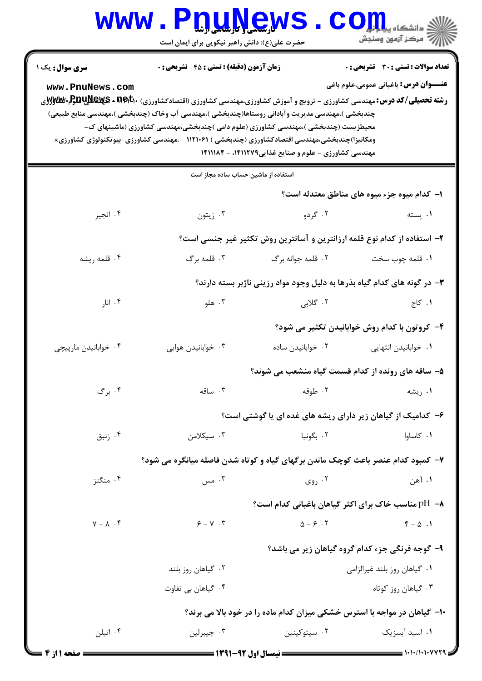|                                                                                   | www.P <u>nune</u> ws<br>حضرت علی(ع): دانش راهبر نیکویی برای ایمان است                                                                                                                                                              |                                                                          | ے<br>ایک مرکز آزمون وسنجش                                                                    |  |  |
|-----------------------------------------------------------------------------------|------------------------------------------------------------------------------------------------------------------------------------------------------------------------------------------------------------------------------------|--------------------------------------------------------------------------|----------------------------------------------------------------------------------------------|--|--|
| <b>سری سوال :</b> یک ۱<br>www.PnuNews.com                                         | <b>زمان آزمون (دقیقه) : تستی : 45 تشریحی : 0</b>                                                                                                                                                                                   |                                                                          | <b>تعداد سوالات : تستی : 30 ٪ تشریحی : 0</b><br><b>عنـــوان درس:</b> باغبانی عمومی،علوم باغی |  |  |
|                                                                                   | <b>رشته تحصیلی/کد درس:</b> مهندسی کشاورزی - ترویج و آموزش کشاورزی،مهندسی کشاورزی (اقتصادکشاورزی) <b>BEV - RAUWEWS ب</b> وWyW و<br>چندبخشی )،مهندسی مدیریت وآبادانی روستاها(چندبخشی )،مهندسی آب وخاک (چندبخشی )،مهندسی منابع طبیعی) |                                                                          |                                                                                              |  |  |
|                                                                                   | محیطزیست (چندبخشی )،مهندسی کشاورزی (علوم دامی )چندبخشی،مهندسی کشاورزی (ماشینهای ک-<br>ومکانیزا)چندبخشی،مهندسی اقتصادکشاورزی (چندبخشی ) ۱۱۲۱۰۶۱ – ،مهندسی کشاورزی-بیوتکنولوژی کشاورزی×                                              | مهندسی کشاورزی - علوم و صنایع غذایی ۱۴۱۱۲۷۹، - ۱۴۱۱۱۸۴                   |                                                                                              |  |  |
|                                                                                   | استفاده از ماشین حساب ساده مجاز است                                                                                                                                                                                                |                                                                          |                                                                                              |  |  |
|                                                                                   |                                                                                                                                                                                                                                    |                                                                          | ۱– کدام میوه جزء میوه های مناطق معتدله است؟                                                  |  |  |
| ۰۴ انجير                                                                          | ۰۳ زيتون                                                                                                                                                                                                                           | ۰۲ گردو                                                                  | ۰۱ پسته                                                                                      |  |  |
| ۲- استفاده از کدام نوع قلمه ارزانترین و آسانترین روش تکثیر غیر جنسی است؟          |                                                                                                                                                                                                                                    |                                                                          |                                                                                              |  |  |
| ۰۴ قلمه ريشه                                                                      | ۰۳ قلمه برگ                                                                                                                                                                                                                        | ۰۲ قلمه جوانه برگ                                                        | ٠١ قلمه چوب سخت                                                                              |  |  |
|                                                                                   |                                                                                                                                                                                                                                    | ۳- در گونه های کدام گیاه بذرها به دلیل وجود مواد رزینی ناژبر بسته دارند؟ |                                                                                              |  |  |
| ۰۴ انار                                                                           | ۰۳ هلو                                                                                                                                                                                                                             | ۲. گلابی                                                                 | ۰۱ کاج                                                                                       |  |  |
|                                                                                   |                                                                                                                                                                                                                                    |                                                                          | ۴- کروتون با کدام روش خوابانیدن تکثیر می شود؟                                                |  |  |
| ۰۴ خوابانيدن مارپيچي                                                              | ۰۳ خوابانیدن هوایی                                                                                                                                                                                                                 | ۰۲ خوابانیدن ساده                                                        | ٠١ خوابانيدن انتهايي                                                                         |  |  |
|                                                                                   |                                                                                                                                                                                                                                    | ۵– ساقه های رونده از کدام قسمت گیاه منشعب می شوند؟                       |                                                                                              |  |  |
| ۰۴ برگ                                                                            | ۰۳ ساقه                                                                                                                                                                                                                            | ۰۲ طوقه                                                                  | ۰۱ ریشه                                                                                      |  |  |
|                                                                                   |                                                                                                                                                                                                                                    | ۶– کدامیک از گیاهان زیر دارای ریشه های غده ای یا گوشتی است؟              |                                                                                              |  |  |
| ۰۴ زنبق                                                                           | ۰۳ سیکلامن                                                                                                                                                                                                                         | ۰۲ بگونیا                                                                | ۰۱ کاساوا                                                                                    |  |  |
| ۷–  کمبود کدام عنصر باعث کوچک ماندن برگهای گیاه و کوتاه شدن فاصله میانگره می شود؟ |                                                                                                                                                                                                                                    |                                                                          |                                                                                              |  |  |
| ۰۴ منگنز                                                                          | ۰۳ مس                                                                                                                                                                                                                              | ۰۲ روی $\cdot$ ۲                                                         | ۰۱ آهن                                                                                       |  |  |
|                                                                                   |                                                                                                                                                                                                                                    | h- H -\ مناسب خاک برای اکثر گیاهان باغبانی کدام است؟                     |                                                                                              |  |  |
| $Y - \Lambda$ . ۴                                                                 | $9 - 17$                                                                                                                                                                                                                           | $\Delta - 5$ .                                                           | $F - \Delta$ .                                                                               |  |  |
|                                                                                   | ۹- گوجه فرنگی جزء کدام گروه گیاهان زیر می باشد؟                                                                                                                                                                                    |                                                                          |                                                                                              |  |  |
|                                                                                   | ۰۲ گیاهان روز بلند                                                                                                                                                                                                                 |                                                                          | ۰۱ گیاهان روز بلند غیرالزامی                                                                 |  |  |
|                                                                                   | ۰۴ گیاهان بی تفاوت                                                                                                                                                                                                                 |                                                                          | ۰۳ گیاهان روز کوتاه                                                                          |  |  |
| ∙۱- گیاهان در مواجه با استرس خشکی میزان کدام ماده را در خود بالا می برند؟         |                                                                                                                                                                                                                                    |                                                                          |                                                                                              |  |  |
| ۰۴ اتیلن                                                                          | ۰۳ جيبرلين                                                                                                                                                                                                                         | ۰۲ سیتوکینین                                                             | ۰۱ اسید آبسزیک                                                                               |  |  |

 $= 1.1.11.1.1$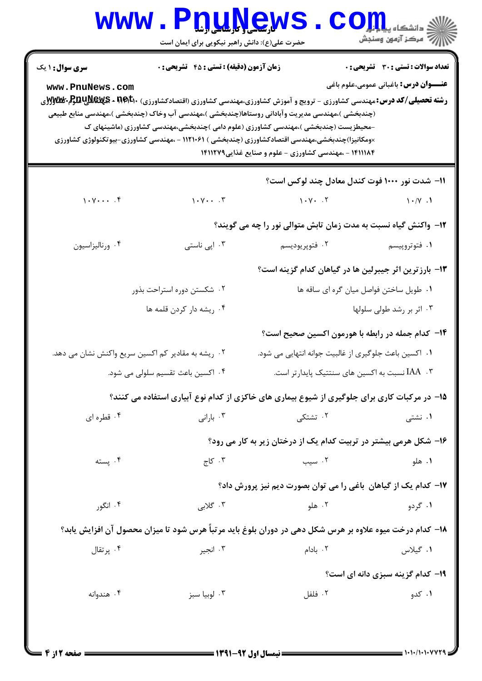|                                                    | www.PnuNews<br>حضرت علی(ع): دانش راهبر نیکویی برای ایمان است |                                                                                                                                                                                                                                                                                                                                                                                                                                                                                     | الله دانشگاه پیاهای<br>الله مرکز آزمون وسنجش                                                 |
|----------------------------------------------------|--------------------------------------------------------------|-------------------------------------------------------------------------------------------------------------------------------------------------------------------------------------------------------------------------------------------------------------------------------------------------------------------------------------------------------------------------------------------------------------------------------------------------------------------------------------|----------------------------------------------------------------------------------------------|
| <b>سری سوال : ۱ یک</b><br>www.PnuNews.com          | زمان آزمون (دقیقه) : تستی : ۴۵ قشریحی : 0                    | <b>رشته تحصیلی/کد درس:</b> مهندسی کشاورزی - ترویج و آموزش کشاورزی،مهندسی کشاورزی (اقتصادکشاورزی) <b>BEV 3 - REWS بWS وFyw</b><br>(چندبخشی )،مهندسی مدیریت وآبادانی روستاها(چندبخشی )،مهندسی آب وخاک (چندبخشی )،مهندسی منابع طبیعی<br>-محیطزیست (چندبخشی )،مهندسی کشاورزی (علوم دامی )چندبخشی،مهندسی کشاورزی (ماشینهای ک<br>×ومکانیزا)چندبخشی،مهندسی اقتصادکشاورزی (چندبخشی ) ۱۱۲۱۰۶۱ - ،مهندسی کشاورزی-بیوتکنولوژی کشاورزی<br>۱۴۱۱۱۸۴ - ،مهندسی کشاورزی - علوم و صنایع غذایی۱۴۱۱۲۷۹ | <b>تعداد سوالات : تستی : 30 ٪ تشریحی : 0</b><br><b>عنـــوان درس:</b> باغبانی عمومی،علوم باغی |
|                                                    |                                                              | 1۱– شدت نور ۱۰۰۰ فوت کندل معادل چند لوکس است؟                                                                                                                                                                                                                                                                                                                                                                                                                                       |                                                                                              |
| 1.7                                                | $\gamma \cdot \gamma \cdot \ldots \cdot \gamma$              | 1.44.7                                                                                                                                                                                                                                                                                                                                                                                                                                                                              | $\wedge \wedge / \vee$ .                                                                     |
|                                                    |                                                              | 1۲- واکنش گیاه نسبت به مدت زمان تابش متوالی نور را چه می گویند؟                                                                                                                                                                                                                                                                                                                                                                                                                     |                                                                                              |
| ۰۴ ورناليزاسيون                                    | ۰۳ اپی ناستی                                                 | ۰۲ فتوپريوديسم                                                                                                                                                                                                                                                                                                                                                                                                                                                                      | ۰۱ فتوتروپیسم                                                                                |
|                                                    |                                                              | ۱۳- بارزترین اثر جیبرلین ها در گیاهان کدام گزینه است؟                                                                                                                                                                                                                                                                                                                                                                                                                               |                                                                                              |
|                                                    | ۰۲ شکستن دوره استراحت بذور                                   | ۰۱ طویل ساختن فواصل میان گره ای ساقه ها                                                                                                                                                                                                                                                                                                                                                                                                                                             |                                                                                              |
|                                                    | ۰۴ ریشه دار کردن قلمه ها                                     |                                                                                                                                                                                                                                                                                                                                                                                                                                                                                     | ۰۳ اثر بر رشد طولی سلولها                                                                    |
|                                                    |                                                              | ۱۴– کدام جمله در رابطه با هورمون اکسین صحیح است؟                                                                                                                                                                                                                                                                                                                                                                                                                                    |                                                                                              |
| ۰۲ ریشه به مقادیر کم اکسین سریع واکنش نشان می دهد. |                                                              | ۰۱ اکسین باعث جلوگیری از غالبیت جوانه انتهایی می شود.                                                                                                                                                                                                                                                                                                                                                                                                                               |                                                                                              |
|                                                    | ۴. اکسین باعث تقسیم سلولی می شود.                            | ۰۳ . IAA نسبت به اکسین های سنتتیک پایدارتر است.                                                                                                                                                                                                                                                                                                                                                                                                                                     |                                                                                              |
|                                                    |                                                              | ۱۵– در مرکبات کاری برای جلوگیری از شیوع بیماری های خاکزی از کدام نوع آبیاری استفاده می کنند؟                                                                                                                                                                                                                                                                                                                                                                                        |                                                                                              |
| ۰۴ قطره ای                                         | ۰۳ بارانی                                                    | ۰۲ تشتکی                                                                                                                                                                                                                                                                                                                                                                                                                                                                            | ۰۱ نشتی                                                                                      |
|                                                    |                                                              | ۱۶- شکل هرمی بیشتر در تربیت کدام یک از درختان زیر به کار می رود؟                                                                                                                                                                                                                                                                                                                                                                                                                    |                                                                                              |
| ۰۴ پسته                                            | ۰۳ کاج                                                       | ۰۲ سیب                                                                                                                                                                                                                                                                                                                                                                                                                                                                              | ۰۱ هلو                                                                                       |
|                                                    |                                                              | ۱۷– کدام یک از گیاهان  باغی را می توان بصورت دیم نیز پرورش داد؟                                                                                                                                                                                                                                                                                                                                                                                                                     |                                                                                              |
| ۰۴ انگور                                           | ۰۳ گلابی                                                     | ۰۲ هلو                                                                                                                                                                                                                                                                                                                                                                                                                                                                              | ۰۱ گردو                                                                                      |
|                                                    |                                                              | ۱۸– کدام درخت میوه علاوه بر هرس شکل دهی در دوران بلوغ باید مرتباً هرس شود تا میزان محصول آن افزایش یابد؟                                                                                                                                                                                                                                                                                                                                                                            |                                                                                              |
| ۰۴ پر تقال                                         | ۰۳ انجير                                                     | ۰۲ بادام                                                                                                                                                                                                                                                                                                                                                                                                                                                                            | ٠١. گيلاس                                                                                    |
|                                                    |                                                              |                                                                                                                                                                                                                                                                                                                                                                                                                                                                                     | <b>۱۹- کدام گزینه سبزی دانه ای است؟</b>                                                      |
| ۰۴ هندوانه                                         | ۰۳ لوبيا سبز                                                 | ۰۲ فلفل                                                                                                                                                                                                                                                                                                                                                                                                                                                                             | ۰۱ کدو                                                                                       |
|                                                    |                                                              |                                                                                                                                                                                                                                                                                                                                                                                                                                                                                     |                                                                                              |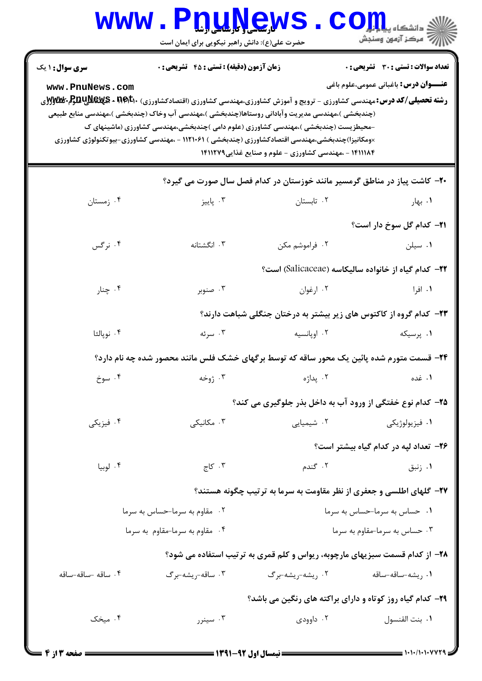## WWW.PnuNews.com .<br>\||// " مرکز آزمون وسنجش حضرت علی(ع): دانش راهبر نیکویی برای ایمان است **تعداد سوالات : تستي : 30 - تشريحي : 0 سری سوال : ۱ یک زمان آزمون (دقیقه) : تستی : 45 تشریحی : 0 عنـــوان درس:** باغبانی عمومی،علوم باغی www.PnuNews.com **رشته تحصیلی/کد درس:**مهندسی کشاورزی - ترویج و آموزش کشاورزی،مهندسی کشاورزی (اقتصادکشاورزی) **REVE × REWS+ BUUSEX 5 ب** (چندبخشی )،مهندسی مدیریت وآبادانی روستاها(چندبخشی )،مهندسی آب وخاک (چندبخشی )،مهندسی منابع طبیعی -محیطزیست (چندبخشی )،مهندسی کشاورزی (علوم دامی )چندبخشی،مهندسی کشاورزی (ماشینهای ک ×ومکانیزا)چندبخشی،مهندسی اقتصادکشاورزی (چندبخشی ) ۱۱۲۱۰۶۱ - ،مهندسی کشاورزی-بیوتکنولوژی کشاورزی ۱۴۱۱۱۸۴ - ،مهندسی کشاورزی - علوم و صنایع غذایی۱۴۱۱۲۷۹ ۲۰- کاشت پیاز در مناطق گرمسیر مانند خوزستان در کدام فصل سال صورت می گیرد؟ ۰۳ يانيز ۰۲ تابستان ۰۴ زمستان ۰۱ بها, **۲۱**– کدام گل سوخ دار است؟ ۰۴ نرگس ۰۳ انگشتانه ۰۲ فراموشم مکن ۰۱ سیلن <del>۲۲</del>- کدام گیاه از خانواده سالیکاسه (Salicaceae) است؟ ۰۲ ارغوان ۰۱. افرا ۰۴ چنار ۰۳ صنوبر ۲۳– کدام گروه از کاکتوس های زیر بیشتر به درختان جنگلی شباهت دارند؟ ۰۳ سرئه ۰۲ اویانسیه ۰۴ نويالئا ۰۱ پرسیکه ۲۴- قسمت متورم شده پائین یک محور ساقه که توسط برگهای خشک فلس مانند محصور شده چه نام دارد؟ ۰۴ سوخ ۰۳ ژوخه ۲ يداژه ۰۱ غده ۲۵– کدام نوع خفتگی از ورود آب به داخل بذر جلوگیری می کند؟ ۰۳ مکانیکی ۰۴ فیزیکی ۰۲ شیمیایی ۰۱ فیزیولوژیکی ۲۶- تعداد ليه در كدام گياه بيشتر است؟ ۰۴ لوبيا ۰۳ کاج ۲. گندم ۰۱ زنبق ۲۷- گلهای اطلسی و جعفری از نظر مقاومت به سرما به ترتیب چگونه هستند؟ ۰۲ مقاوم به سرما-حساس به سرما ۰۱ - حساس به سرما-حساس به سرما ۰۴ مقاوم به سرما-مقاوم به سرما ۰۳ حساس به سرما-مقاوم به سرما ۲۸- از کدام قسمت سبزیهای مارچوبه، ریواس و کلم قمری به ترتیب استفاده می شود؟ ۰۴ ساقه -ساقه-ساقه

۰۳ ساقه-<sub>ر</sub>یشه-برگ ۰۲ <sub>د</sub>یشه-<sub>د</sub>یشه-برگ ۰۱ , ىشە–ساقە–ساقە

۲۹- کدام گیاه روز کوتاه و دارای براکته های رنگین می باشد؟

۰۴ میخک ۰۳ سینرر ٠١. بنت القنسول ۰۲ داوودی

 $1.1.11.1.14$